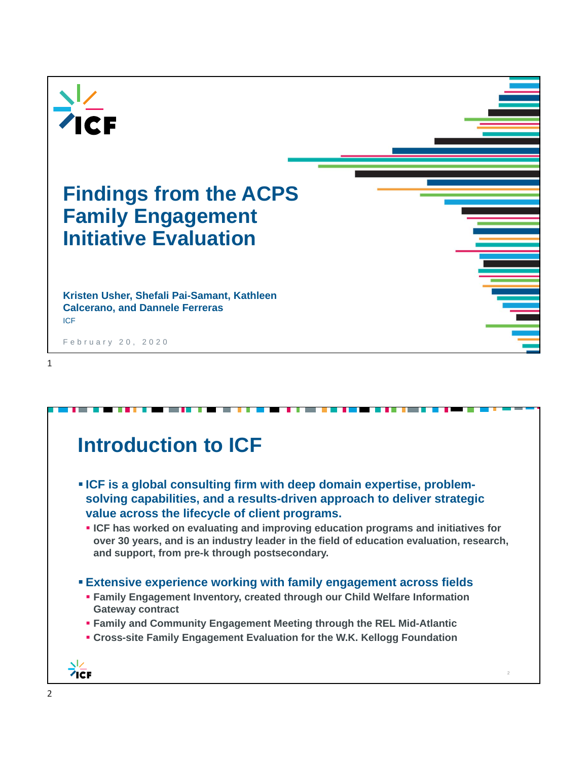

| Introduction to ICF                                                                                                                                                                                                               |
|-----------------------------------------------------------------------------------------------------------------------------------------------------------------------------------------------------------------------------------|
| . ICF is a global consulting firm with deep domain expertise, problem-<br>solving capabilities, and a results-driven approach to deliver strategic<br>value across the lifecycle of client programs.                              |
| • ICF has worked on evaluating and improving education programs and initiatives for<br>over 30 years, and is an industry leader in the field of education evaluation, research,<br>and support, from pre-k through postsecondary. |
| <b>Extensive experience working with family engagement across fields</b>                                                                                                                                                          |
| <b>- Family Engagement Inventory, created through our Child Welfare Information</b><br><b>Gateway contract</b>                                                                                                                    |
| • Family and Community Engagement Meeting through the REL Mid-Atlantic                                                                                                                                                            |
| • Cross-site Family Engagement Evaluation for the W.K. Kellogg Foundation                                                                                                                                                         |
|                                                                                                                                                                                                                                   |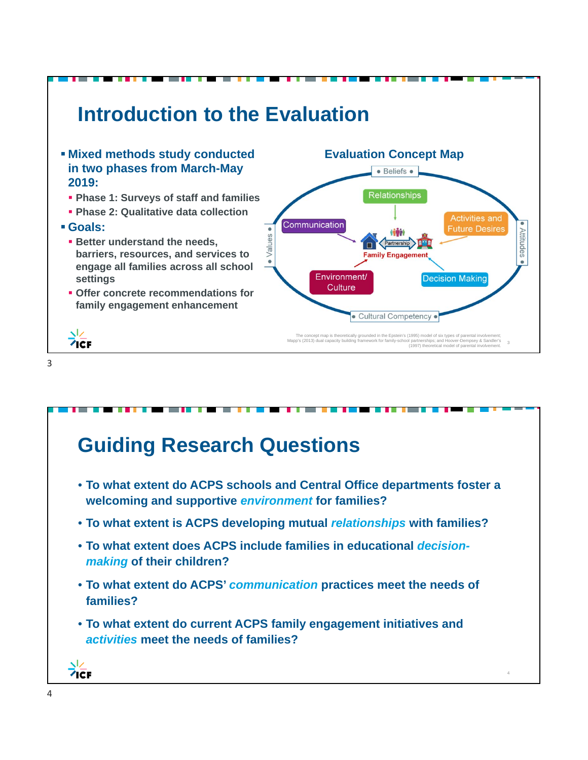

**Guiding Research Questions**

- **To what extent do ACPS schools and Central Office departments foster a welcoming and supportive** *environment* **for families?**
- **To what extent is ACPS developing mutual** *relationships* **with families?**
- **To what extent does ACPS include families in educational** *decisionmaking* **of their children?**
- **To what extent do ACPS'** *communication* **practices meet the needs of families?**

4

• **To what extent do current ACPS family engagement initiatives and**  *activities* **meet the needs of families?**

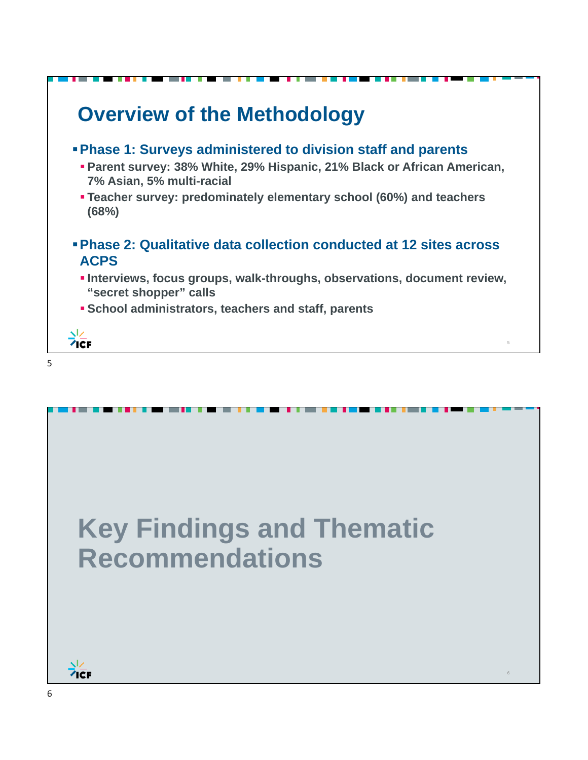

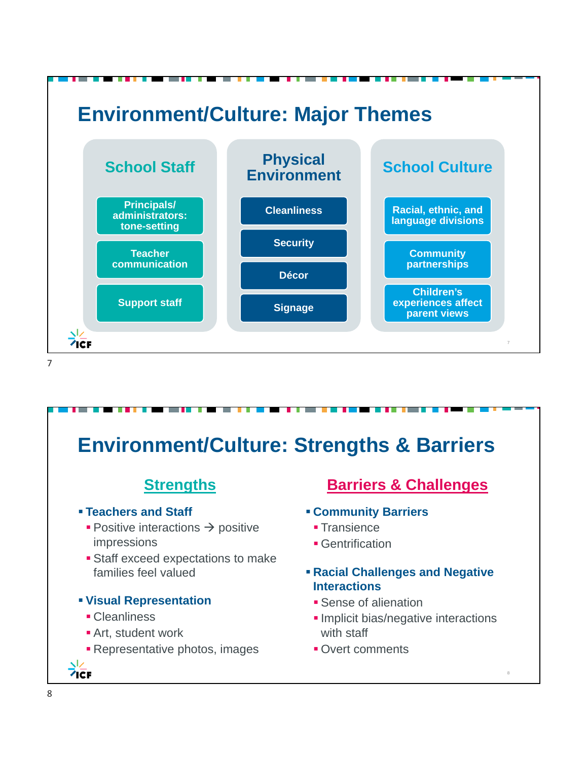

#### **Environment/Culture: Strengths & Barriers Strengths Barriers & Challenges Teachers and Staff Community Barriers**  $\blacksquare$  Positive interactions  $\rightarrow$  positive **Transience** impressions **Gentrification Staff exceed expectations to make** families feel valued **Racial Challenges and Negative Interactions Visual Representation Sense of alienation** • Cleanliness **Implicit bias/negative interactions Art, student work** with staff **Representative photos, images • Overt comments**  $7cF$ 8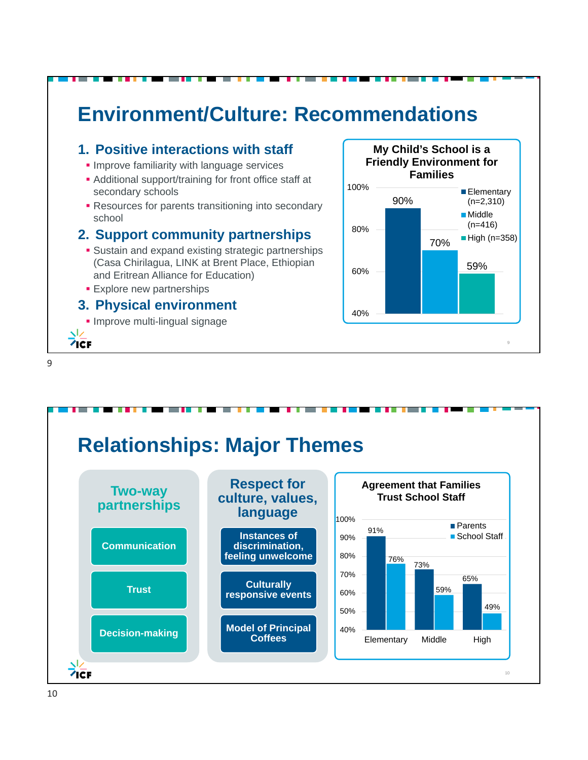

#### **1. Positive interactions with staff**

- **Improve familiarity with language services**
- Additional support/training for front office staff at secondary schools
- **Resources for parents transitioning into secondary** school

#### **2. Support community partnerships**

- **Sustain and expand existing strategic partnerships** (Casa Chirilagua, LINK at Brent Place, Ethiopian and Eritrean Alliance for Education)
- **Explore new partnerships**

#### **3. Physical environment**

**Improve multi-lingual signage** 



**Relationships: Major Themes Two-way Respect for** 



9

ヽレ  $7C$ F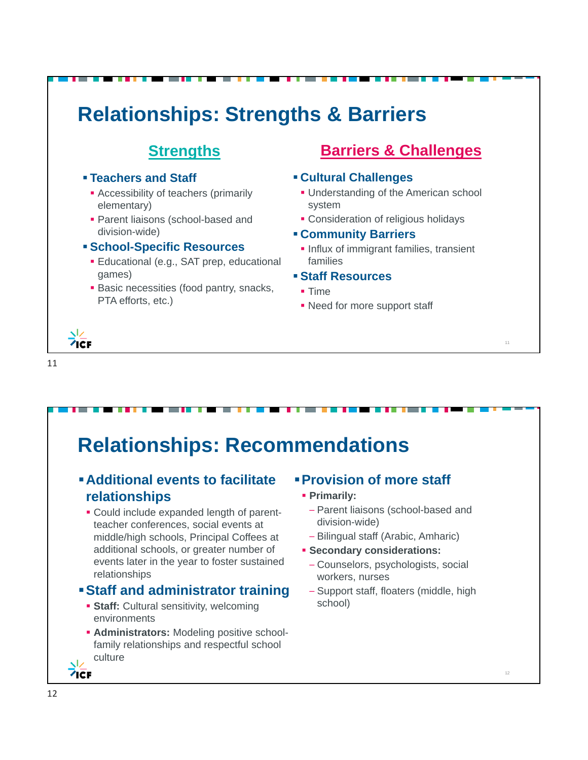

# **Relationships: Recommendations**

#### **Additional events to facilitate relationships**

 Could include expanded length of parentteacher conferences, social events at middle/high schools, Principal Coffees at additional schools, or greater number of events later in the year to foster sustained relationships

#### **Staff and administrator training**

- **Staff:** Cultural sensitivity, welcoming environments
- **Administrators:** Modeling positive schoolfamily relationships and respectful school culture

### **Provision of more staff**

- **Primarily:** 
	- Parent liaisons (school-based and division-wide)
	- Bilingual staff (Arabic, Amharic)
- **Secondary considerations:** 
	- Counselors, psychologists, social workers, nurses
	- Support staff, floaters (middle, high school)

 $7C$ F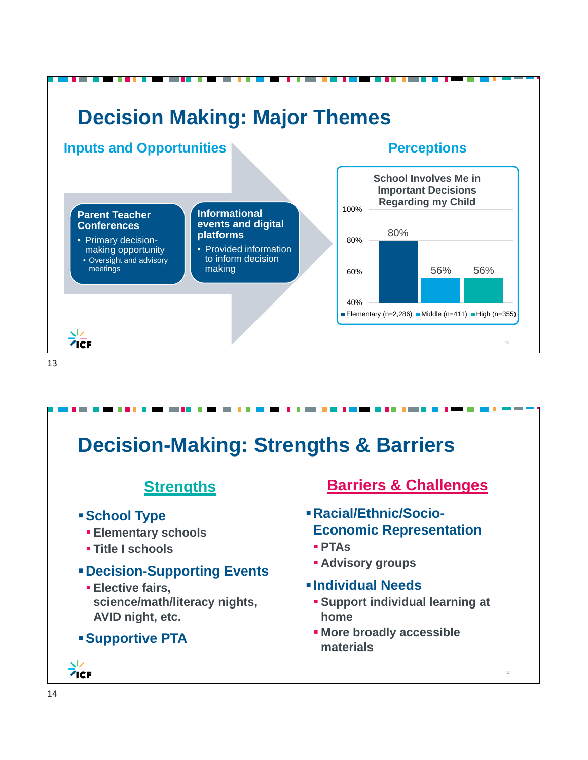

# **Decision-Making: Strengths & Barriers**

## **Strengths**

- **School Type**
	- **Elementary schools**
	- **Title I schools**

#### **Decision-Supporting Events**

 **Elective fairs, science/math/literacy nights, AVID night, etc.**

#### **Supportive PTA**

## $7cF$

### **Barriers & Challenges**

- **Racial/Ethnic/Socio-Economic Representation**
	- **PTAs**
	- **Advisory groups**
- **Individual Needs**
	- **Support individual learning at home**

14

 **More broadly accessible materials**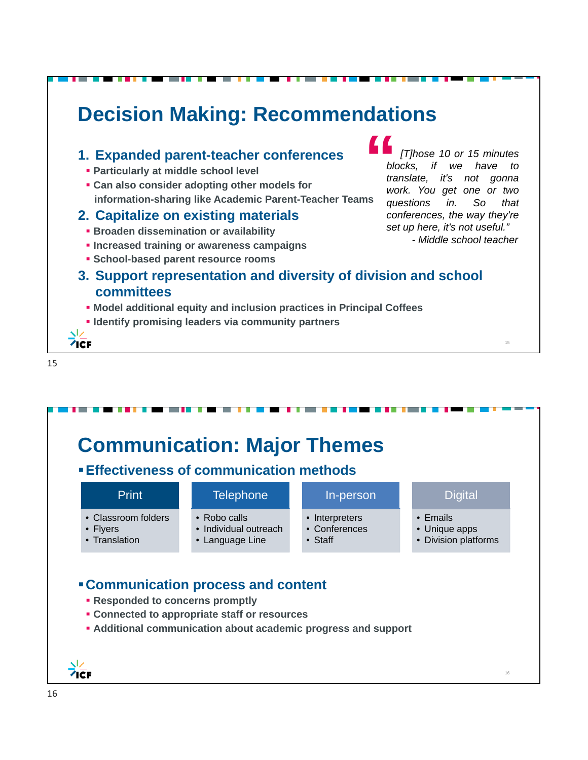

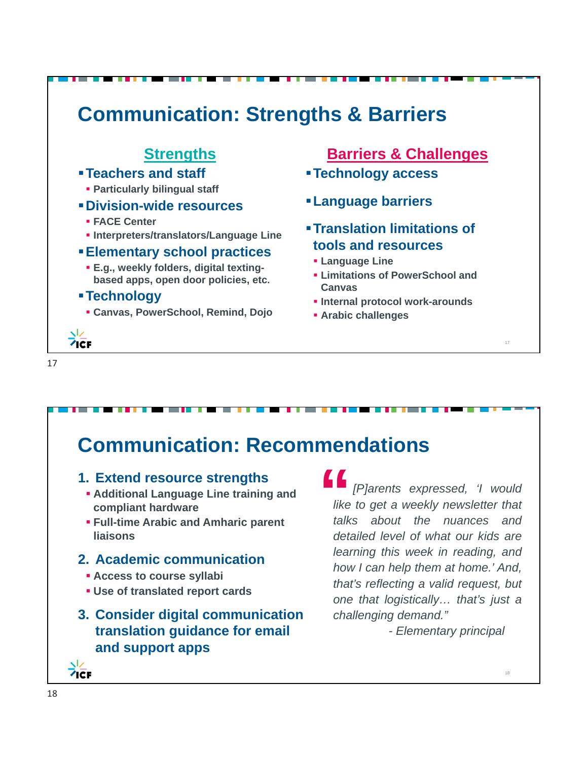#### **Communication: Strengths & Barriers Strengths Barriers & Challenges Teachers and staff Technology access Particularly bilingual staff Language barriers Division-wide resources FACE Center Translation limitations of Interpreters/translators/Language Line tools and resources Elementary school practices Language Line E.g., weekly folders, digital texting- Limitations of PowerSchool and based apps, open door policies, etc. Canvas Technology Internal protocol work-arounds Canvas, PowerSchool, Remind, Dojo Arabic challenges**  $7cF$ 17 17

# **Communication: Recommendations**

#### **1. Extend resource strengths**

- **Additional Language Line training and compliant hardware**
- **Full-time Arabic and Amharic parent liaisons**

### **2. Academic communication**

- **Access to course syllabi**
- **Use of translated report cards**
- **3. Consider digital communication translation guidance for email and support apps**

### "*[P]arents expressed, 'I would like to get a weekly newsletter that talks about the nuances and detailed level of what our kids are learning this week in reading, and how I can help them at home.' And, that's reflecting a valid request, but one that logistically… that's just a challenging demand."*

*- Elementary principal*

18

 $7cF$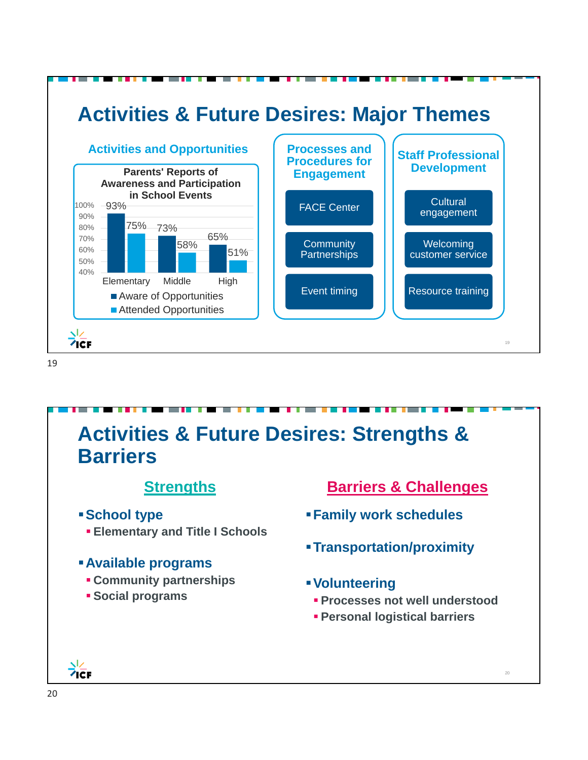

#### 19

## **Activities & Future Desires: Strengths & Barriers Strengths School type Elementary and Title I Schools Available programs Community partnerships Social programs Barriers & Challenges Family work schedules Transportation/proximity Volunteering Processes not well understood Personal logistical barriers**

20

 $7cF$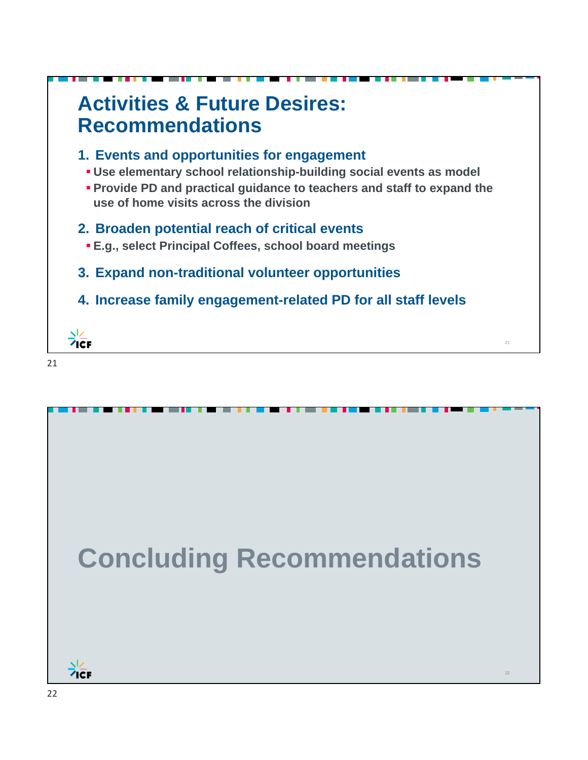

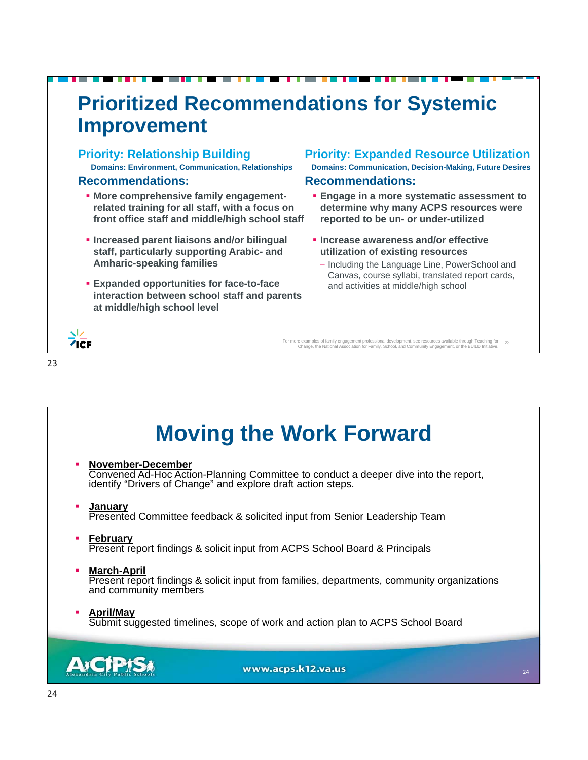